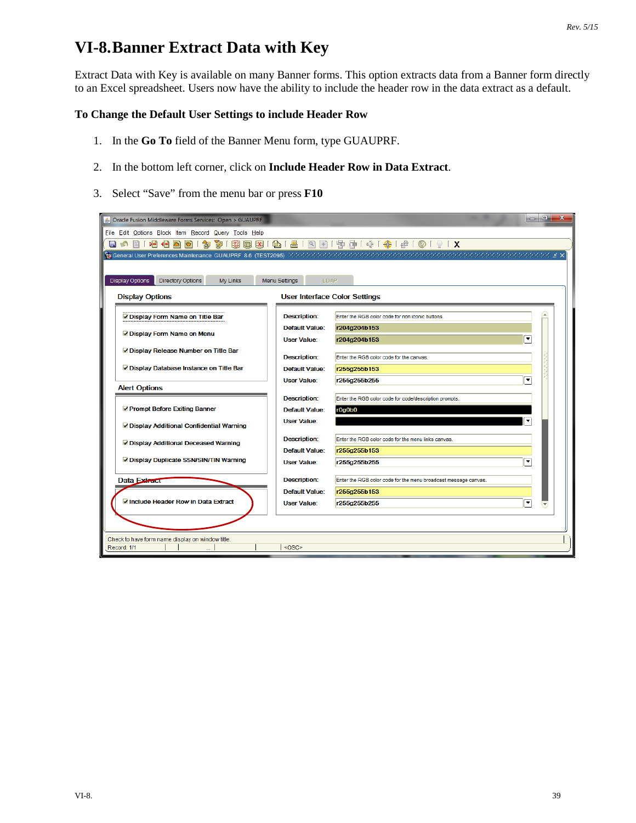## **VI-8.Banner Extract Data with Key**

Extract Data with Key is available on many Banner forms. This option extracts data from a Banner form directly to an Excel spreadsheet. Users now have the ability to include the header row in the data extract as a default.

## **To Change the Default User Settings to include Header Row**

- 1. In the **Go To** field of the Banner Menu form, type GUAUPRF.
- 2. In the bottom left corner, click on **Include Header Row in Data Extract**.
- 3. Select "Save" from the menu bar or press **F10**

| $ -$<br>$\mathbf{x}$<br>S Oracle Fusion Middleware Forms Services: Open > GUAUPRF              |                       |                                                                 |   |  |  |  |  |  |  |  |  |  |  |
|------------------------------------------------------------------------------------------------|-----------------------|-----------------------------------------------------------------|---|--|--|--|--|--|--|--|--|--|--|
| File Edit Options Block Item Record Query Tools Help                                           |                       |                                                                 |   |  |  |  |  |  |  |  |  |  |  |
| 日の                                                                                             |                       |                                                                 |   |  |  |  |  |  |  |  |  |  |  |
|                                                                                                |                       |                                                                 |   |  |  |  |  |  |  |  |  |  |  |
|                                                                                                |                       |                                                                 |   |  |  |  |  |  |  |  |  |  |  |
| <b>Display Options</b><br><b>Directory Options</b><br>My Links<br><b>Menu Settings</b><br>LDAP |                       |                                                                 |   |  |  |  |  |  |  |  |  |  |  |
| <b>Display Options</b><br><b>User Interface Color Settings</b>                                 |                       |                                                                 |   |  |  |  |  |  |  |  |  |  |  |
| Display Form Name on Title Bar                                                                 | <b>Description:</b>   | Enter the RGB color code for non iconic buttons.                |   |  |  |  |  |  |  |  |  |  |  |
|                                                                                                | <b>Default Value:</b> | r204g204b153                                                    |   |  |  |  |  |  |  |  |  |  |  |
| Display Form Name on Menu                                                                      | <b>User Value:</b>    | $\left  \rule{0.2cm}{0.25cm} \right $<br>r204g204b153           |   |  |  |  |  |  |  |  |  |  |  |
| Display Release Number on Title Bar                                                            | <b>Description:</b>   | Enter the RGB color code for the canvas.                        |   |  |  |  |  |  |  |  |  |  |  |
| Display Database Instance on Title Bar                                                         | <b>Default Value:</b> | r255g255b153                                                    |   |  |  |  |  |  |  |  |  |  |  |
|                                                                                                | <b>User Value:</b>    | ▼<br>r255g255b255                                               |   |  |  |  |  |  |  |  |  |  |  |
| <b>Alert Options</b>                                                                           |                       |                                                                 |   |  |  |  |  |  |  |  |  |  |  |
|                                                                                                | <b>Description:</b>   | Enter the RGB color code for code/description prompts.          |   |  |  |  |  |  |  |  |  |  |  |
| Prompt Before Exiting Banner                                                                   | <b>Default Value:</b> | r0g0b0                                                          |   |  |  |  |  |  |  |  |  |  |  |
| Display Additional Confidential Warning                                                        | <b>User Value:</b>    |                                                                 |   |  |  |  |  |  |  |  |  |  |  |
| Display Additional Deceased Warning                                                            | <b>Description:</b>   | Enter the RGB color code for the menu links canvas.             |   |  |  |  |  |  |  |  |  |  |  |
|                                                                                                | <b>Default Value:</b> | r255g255b153                                                    |   |  |  |  |  |  |  |  |  |  |  |
| O Display Duplicate SSN/SIN/TIN Warning                                                        | <b>User Value:</b>    | $\overline{\phantom{a}}$<br>r255g255b255                        |   |  |  |  |  |  |  |  |  |  |  |
| Data Extract                                                                                   | <b>Description:</b>   | Enter the RGB color code for the menu broadcast message canvas. |   |  |  |  |  |  |  |  |  |  |  |
|                                                                                                | <b>Default Value:</b> | r255g255b153                                                    |   |  |  |  |  |  |  |  |  |  |  |
| Include Header Row in Data Extract                                                             | <b>User Value:</b>    | r255g255b255                                                    | ▼ |  |  |  |  |  |  |  |  |  |  |
|                                                                                                |                       |                                                                 |   |  |  |  |  |  |  |  |  |  |  |
|                                                                                                |                       |                                                                 |   |  |  |  |  |  |  |  |  |  |  |
| Check to have form name display on window title.                                               |                       |                                                                 |   |  |  |  |  |  |  |  |  |  |  |
| <osc><br/>Record: 1/1</osc>                                                                    |                       |                                                                 |   |  |  |  |  |  |  |  |  |  |  |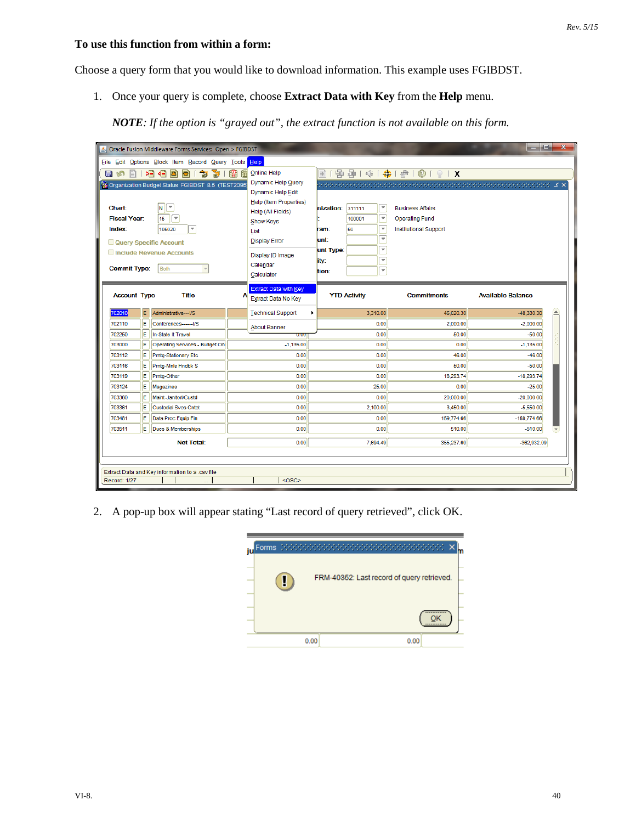## **To use this function from within a form:**

Choose a query form that you would like to download information. This example uses FGIBDST.

1. Once your query is complete, choose **Extract Data with Key** from the **Help** menu.

*NOTE: If the option is "grayed out", the extract function is not available on this form.*

| $\qquad \qquad \blacksquare$<br>$\mathbf{x}$<br>6 Oracle Fusion Middleware Forms Services: Open > FGIBDST |     |                                                                                                                                                                                       |         |                                                                                                                                                                                                                |                                                               |                                                                                                                                                                                                                |                                                                                                                                                                                                                                                                                      |                          |                  |  |  |
|-----------------------------------------------------------------------------------------------------------|-----|---------------------------------------------------------------------------------------------------------------------------------------------------------------------------------------|---------|----------------------------------------------------------------------------------------------------------------------------------------------------------------------------------------------------------------|---------------------------------------------------------------|----------------------------------------------------------------------------------------------------------------------------------------------------------------------------------------------------------------|--------------------------------------------------------------------------------------------------------------------------------------------------------------------------------------------------------------------------------------------------------------------------------------|--------------------------|------------------|--|--|
| File Edit Options Block Item Record Query Tools Help                                                      |     |                                                                                                                                                                                       |         |                                                                                                                                                                                                                |                                                               |                                                                                                                                                                                                                |                                                                                                                                                                                                                                                                                      |                          |                  |  |  |
| 目の<br>$\mathbb{H}$<br>Chart:<br><b>Fiscal Year:</b><br>Index:<br><b>Commit Type:</b>                      |     | 植相因同<br>奇!<br>御<br>Organization Budget Status FGIBDST 8.5 (TEST2095<br>▼<br>$\vert$ N $\vert$<br>╔<br>15<br>÷<br>106020<br>Query Specific Account<br>Include Revenue Accounts<br>Both | R2<br>僵 | Online Help<br>Dynamic Help Query<br>Dynamic Help Edit<br><b>Help (Item Properties)</b><br>Help (All Fields)<br><b>Show Keys</b><br>List<br><b>Display Error</b><br>Display ID Image<br>Calendar<br>Calculator | nization: 311111<br>am:<br>unt:<br>unt Type:<br>ity:<br>tion: | $\overline{\mathbf v}$<br>$\overline{\phantom{a}}$<br>100001<br>$\overline{\phantom{a}}$<br>60<br>$\overline{\phantom{a}}$<br>$\overline{\phantom{a}}$<br>$\overline{\phantom{a}}$<br>$\overline{\phantom{a}}$ | 图   雪 雪   伞   争   争   ◎   ◎   ♀   X<br>$\mathcal{R}(\mathcal{A})$ is the contribution of the contribution of the contribution of $\mathcal{A}(\mathcal{A})$ is the contribution of $\mathcal{A}$<br><b>Business Affairs</b><br><b>Operating Fund</b><br><b>Institutional Support</b> |                          |                  |  |  |
| <b>Account Type</b>                                                                                       |     | <b>Title</b>                                                                                                                                                                          |         | <b>Extract Data with Key</b><br>Extract Data No Key                                                                                                                                                            |                                                               | <b>YTD Activity</b>                                                                                                                                                                                            | <b>Commitments</b>                                                                                                                                                                                                                                                                   | <b>Available Balance</b> |                  |  |  |
| 02010                                                                                                     | E.  | Administrative---I/S                                                                                                                                                                  |         | <b>Technical Support</b>                                                                                                                                                                                       |                                                               | 3.310.00                                                                                                                                                                                                       | 45.020.30                                                                                                                                                                                                                                                                            | $-48,330.30$             | $\blacktriangle$ |  |  |
| 702110                                                                                                    | E.  | Conferences-------I/S                                                                                                                                                                 |         | <b>About Banner</b>                                                                                                                                                                                            |                                                               | 0.00                                                                                                                                                                                                           | 2,000.00                                                                                                                                                                                                                                                                             | $-2,000.00$              |                  |  |  |
| 702250                                                                                                    | E.  | In-State It Travel                                                                                                                                                                    |         | 0.00                                                                                                                                                                                                           |                                                               | 0.00                                                                                                                                                                                                           | 50.00                                                                                                                                                                                                                                                                                | $-50.00$                 |                  |  |  |
| 703000                                                                                                    | E   | Operating Services - Budget On                                                                                                                                                        |         | $-1,135.00$                                                                                                                                                                                                    |                                                               | 0.00                                                                                                                                                                                                           | 0.00                                                                                                                                                                                                                                                                                 | $-1,135.00$              |                  |  |  |
| 703112                                                                                                    | E   | Prntq-Stationary Etc                                                                                                                                                                  |         | 0.00                                                                                                                                                                                                           |                                                               | 0.00                                                                                                                                                                                                           | 46.00                                                                                                                                                                                                                                                                                | $-46.00$                 |                  |  |  |
| 703116                                                                                                    | E   | Prntg-Mnls Hndbk S                                                                                                                                                                    |         | 0.00                                                                                                                                                                                                           |                                                               | 0.00                                                                                                                                                                                                           | 50.00                                                                                                                                                                                                                                                                                | $-50.00$                 |                  |  |  |
| 703119                                                                                                    | E   | Prntg-Other                                                                                                                                                                           |         | 0.00                                                                                                                                                                                                           |                                                               | 0.00                                                                                                                                                                                                           | 18,293.74                                                                                                                                                                                                                                                                            | $-18,293.74$             |                  |  |  |
| 703124                                                                                                    | E   | Magazines                                                                                                                                                                             |         | 0.00                                                                                                                                                                                                           |                                                               | 25.00                                                                                                                                                                                                          | 0.00                                                                                                                                                                                                                                                                                 | $-25.00$                 |                  |  |  |
| 703360                                                                                                    | E   | Maint-Janitorl/Custd                                                                                                                                                                  |         | 0.00                                                                                                                                                                                                           |                                                               | 0.00                                                                                                                                                                                                           | 20,000.00                                                                                                                                                                                                                                                                            | $-20,000.00$             |                  |  |  |
| 703361                                                                                                    | E.  | <b>Custodial Svcs Cntct</b>                                                                                                                                                           |         | 0.00                                                                                                                                                                                                           |                                                               | 2.100.00                                                                                                                                                                                                       | 3.450.00                                                                                                                                                                                                                                                                             | $-5,550.00$              |                  |  |  |
| 703481                                                                                                    | E   | Data Proc Equip Fin                                                                                                                                                                   |         | 0.00                                                                                                                                                                                                           |                                                               | 0.00                                                                                                                                                                                                           | 159,774.66                                                                                                                                                                                                                                                                           | $-159,774.66$            |                  |  |  |
| 703511                                                                                                    | lE. | Dues & Memberships                                                                                                                                                                    |         | 0.00                                                                                                                                                                                                           |                                                               | 0.00                                                                                                                                                                                                           | 510.00                                                                                                                                                                                                                                                                               | $-510.00$                |                  |  |  |
|                                                                                                           |     | <b>Net Total:</b>                                                                                                                                                                     |         | 0.00                                                                                                                                                                                                           |                                                               | 7,694.49                                                                                                                                                                                                       | 355,237.60                                                                                                                                                                                                                                                                           | $-362,932.09$            |                  |  |  |
| Extract Data and Key information to a .csv file<br><osc><br/>Record: 1/27</osc>                           |     |                                                                                                                                                                                       |         |                                                                                                                                                                                                                |                                                               |                                                                                                                                                                                                                |                                                                                                                                                                                                                                                                                      |                          |                  |  |  |

2. A pop-up box will appear stating "Last record of query retrieved", click OK.